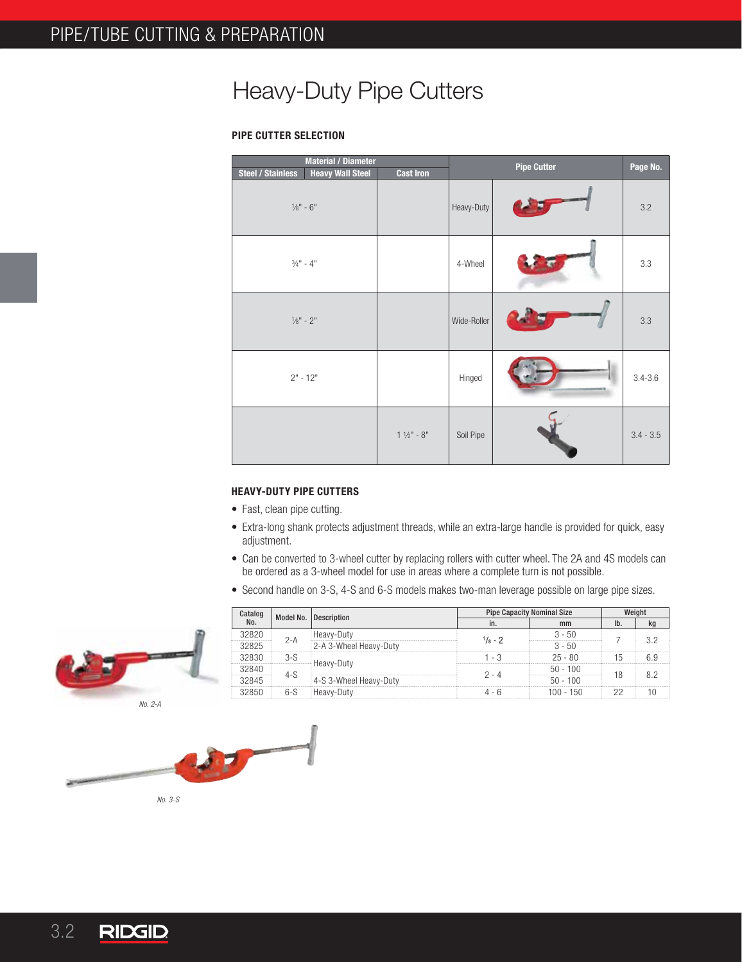## Heavy-Duty Pipe Cutters

## **PIPE CUTTER SELECTION**

| <b>Material / Diameter</b><br><b>Heavy Wall Steel</b><br><b>Steel / Stainless</b> | <b>Cast Iron</b>      |             | <b>Pipe Cutter</b> | Page No.    |
|-----------------------------------------------------------------------------------|-----------------------|-------------|--------------------|-------------|
| $1/8" - 6"$                                                                       |                       | Heavy-Duty  |                    | 3.2         |
| $3/4" - 4"$                                                                       |                       | 4-Wheel     |                    | 3.3         |
| $1/8" - 2"$                                                                       |                       | Wide-Roller |                    | 3.3         |
| $2" - 12"$                                                                        |                       | Hinged      |                    | $3.4 - 3.6$ |
|                                                                                   | $1\frac{1}{2}$ " - 8" | Soil Pipe   |                    | $3.4 - 3.5$ |

## **HEAVY-DUTY PIPE CUTTERS**

- Fast, clean pipe cutting.
- Extra-long shank protects adjustment threads, while an extra-large handle is provided for quick, easy adjustment.
- Can be converted to 3-wheel cutter by replacing rollers with cutter wheel. The 2A and 4S models can be ordered as a 3-wheel model for use in areas where a complete turn is not possible.
- Second handle on 3-S, 4-S and 6-S models makes two-man leverage possible on large pipe sizes.